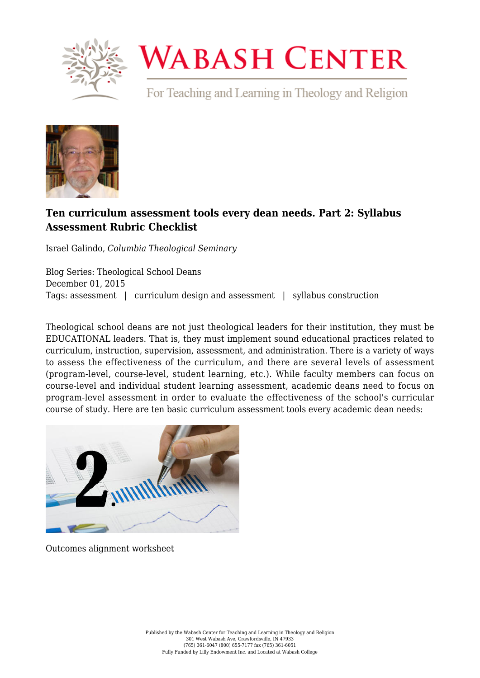

## **WABASH CENTER**

For Teaching and Learning in Theology and Religion



## **[Ten curriculum assessment tools every dean needs. Part 2: Syllabus](https://www.wabashcenter.wabash.edu/2015/12/ten-curriculum-assessment-tools-every-dean-needs-part-2-syllabus-assessment-rubric-checklist/) [Assessment Rubric Checklist](https://www.wabashcenter.wabash.edu/2015/12/ten-curriculum-assessment-tools-every-dean-needs-part-2-syllabus-assessment-rubric-checklist/)**

Israel Galindo, *Columbia Theological Seminary*

Blog Series: Theological School Deans December 01, 2015 Tags: assessment | curriculum design and assessment | syllabus construction

Theological school deans are not just theological leaders for their institution, they must be EDUCATIONAL leaders. That is, they must implement sound educational practices related to curriculum, instruction, supervision, assessment, and administration. There is a variety of ways to assess the effectiveness of the curriculum, and there are several levels of assessment (program-level, course-level, student learning, etc.). While faculty members can focus on course-level and individual student learning assessment, academic deans need to focus on program-level assessment in order to evaluate the effectiveness of the school's curricular course of study. Here are ten basic curriculum assessment tools every academic dean needs:



Outcomes alignment worksheet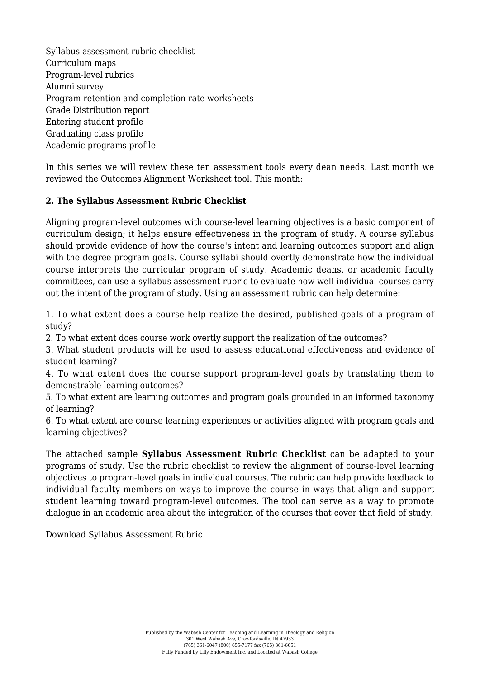Syllabus assessment rubric checklist Curriculum maps Program-level rubrics Alumni survey Program retention and completion rate worksheets Grade Distribution report Entering student profile Graduating class profile Academic programs profile

In this series we will review these ten assessment tools every dean needs. Last month we reviewed the Outcomes Alignment Worksheet tool. This month:

## **2. The Syllabus Assessment Rubric Checklist**

Aligning program-level outcomes with course-level learning objectives is a basic component of curriculum design; it helps ensure effectiveness in the program of study. A course syllabus should provide evidence of how the course's intent and learning outcomes support and align with the degree program goals. Course syllabi should overtly demonstrate how the individual course interprets the curricular program of study. Academic deans, or academic faculty committees, can use a syllabus assessment rubric to evaluate how well individual courses carry out the intent of the program of study. Using an assessment rubric can help determine:

1. To what extent does a course help realize the desired, published goals of a program of study?

2. To what extent does course work overtly support the realization of the outcomes?

3. What student products will be used to assess educational effectiveness and evidence of student learning?

4. To what extent does the course support program-level goals by translating them to demonstrable learning outcomes?

5. To what extent are learning outcomes and program goals grounded in an informed taxonomy of learning?

6. To what extent are course learning experiences or activities aligned with program goals and learning objectives?

The attached sample **Syllabus Assessment Rubric Checklist** can be adapted to your programs of study. Use the rubric checklist to review the alignment of course-level learning objectives to program-level goals in individual courses. The rubric can help provide feedback to individual faculty members on ways to improve the course in ways that align and support student learning toward program-level outcomes. The tool can serve as a way to promote dialogue in an academic area about the integration of the courses that cover that field of study.

[Download Syllabus Assessment Rubric](https://www.wabashcenter.wabash.edu/wp-content/uploads/2017/06/syllabus-assessment-rubric.pdf)